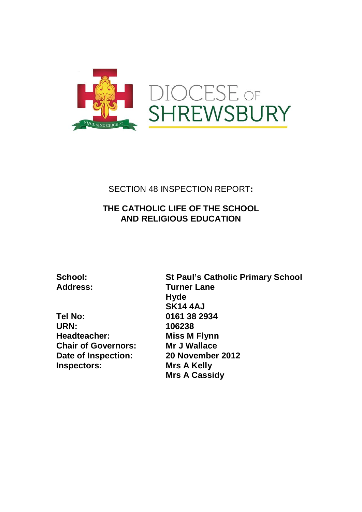

# SECTION 48 INSPECTION REPORT**:**

# **THE CATHOLIC LIFE OF THE SCHOOL AND RELIGIOUS EDUCATION**

**Tel No: 0161 38 2934 Headteacher: Miss M Flynn Chair of Governors: Mr J Wallace Date of Inspection:** 20 November 2012<br> **Inspectors:** Mrs A Kelly **Inspectors:** 

**School: St Paul's Catholic Primary School Turner Lane Hyde SK14 4AJ**<br>79 161 38 29 164 38 29 **URN: 106238 Mrs A Cassidy**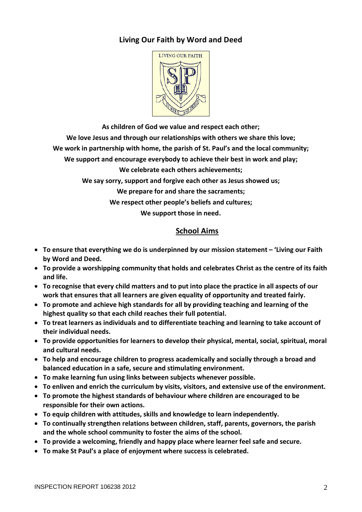## **Living Our Faith by Word and Deed**



**As children of God we value and respect each other;**

**We love Jesus and through our relationships with others we share this love;**

**We work in partnership with home, the parish of St. Paul's and the local community;**

**We support and encourage everybody to achieve their best in work and play;**

**We celebrate each others achievements;**

**We say sorry, support and forgive each other as Jesus showed us;**

**We prepare for and share the sacraments;**

**We respect other people's beliefs and cultures;**

**We support those in need.**

## **School Aims**

- **To ensure that everything we do is underpinned by our mission statement – 'Living our Faith by Word and Deed.**
- **To provide a worshipping community that holds and celebrates Christ as the centre of its faith and life.**
- **To recognise that every child matters and to put into place the practice in all aspects of our work that ensures that all learners are given equality of opportunity and treated fairly.**
- **To promote and achieve high standards for all by providing teaching and learning of the highest quality so that each child reaches their full potential.**
- **To treat learners as individuals and to differentiate teaching and learning to take account of their individual needs.**
- **To provide opportunities for learners to develop their physical, mental, social, spiritual, moral and cultural needs.**
- **To help and encourage children to progress academically and socially through a broad and balanced education in a safe, secure and stimulating environment.**
- **To make learning fun using links between subjects whenever possible.**
- **To enliven and enrich the curriculum by visits, visitors, and extensive use of the environment.**
- **To promote the highest standards of behaviour where children are encouraged to be responsible for their own actions.**
- **To equip children with attitudes, skills and knowledge to learn independently.**
- **To continually strengthen relations between children, staff, parents, governors, the parish and the whole school community to foster the aims of the school.**
- **To provide a welcoming, friendly and happy place where learner feel safe and secure.**
- **To make St Paul's a place of enjoyment where success is celebrated.**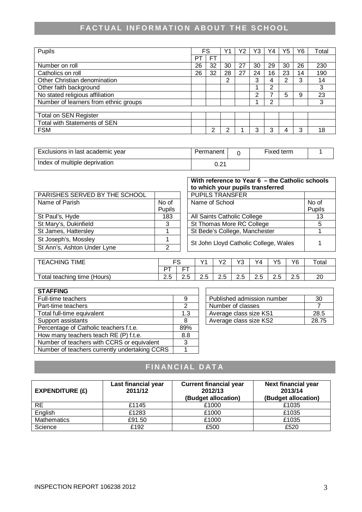# **FACTUAL INFORMATION ABOUT THE SCHOOL**

| Pupils                                |    | FS             |    | Y2 | Y3 | $\vee$ 4 | Y5 | Y6 | Total |
|---------------------------------------|----|----------------|----|----|----|----------|----|----|-------|
|                                       | P٦ | F <sub>1</sub> |    |    |    |          |    |    |       |
| Number on roll                        | 26 | 32             | 30 | 27 | 30 | 29       | 30 | 26 | 230   |
| Catholics on roll                     | 26 | 32             | 28 | 27 | 24 | 16       | 23 | 14 | 190   |
| Other Christian denomination          |    |                | 2  |    | 3  | 4        | っ  | 3  | 14    |
| Other faith background                |    |                |    |    |    | っ        |    |    | 3     |
| No stated religious affiliation       |    |                |    |    | 2  |          | 5  | 9  | 23    |
| Number of learners from ethnic groups |    |                |    |    |    | າ        |    |    | 3     |
|                                       |    |                |    |    |    |          |    |    |       |
| <b>Total on SEN Register</b>          |    |                |    |    |    |          |    |    |       |
| Total with Statements of SEN          |    |                |    |    |    |          |    |    |       |
| <b>FSM</b>                            |    | າ              | າ  |    |    | 3        |    | 3  | 18    |

| Exclusions in last academic year | Permanent | Fixed term |  |
|----------------------------------|-----------|------------|--|
| Index of multiple deprivation    |           |            |  |

|                               |        | With reference to Year 6 - the Catholic schools<br>to which your pupils transferred |        |  |  |
|-------------------------------|--------|-------------------------------------------------------------------------------------|--------|--|--|
| PARISHES SERVED BY THE SCHOOL |        | <b>PUPILS TRANSFER</b>                                                              |        |  |  |
| Name of Parish                | No of  | Name of School                                                                      | No of  |  |  |
|                               | Pupils |                                                                                     | Pupils |  |  |
| St Paul's, Hyde               | 183    | All Saints Catholic College                                                         | 13     |  |  |
| St Mary's, Dukinfield         | 3      | St Thomas More RC College                                                           |        |  |  |
| St James, Hattersley          |        | St Bede's College, Manchester                                                       |        |  |  |
| St Joseph's, Mossley          |        | St John Lloyd Catholic College, Wales                                               |        |  |  |
| St Ann's, Ashton Under Lyne   | າ      |                                                                                     |        |  |  |
|                               |        |                                                                                     |        |  |  |

| <b>TIME</b><br><b>EACHING</b>       | r c           |          | \/d        | $\sqrt{2}$<br>-      | $\sqrt{2}$<br>◡ | Y4                                   | VĘ<br>ັ | Y6                   | ⊤ota∟ |
|-------------------------------------|---------------|----------|------------|----------------------|-----------------|--------------------------------------|---------|----------------------|-------|
|                                     | $\Gamma$<br>◡ | ___      |            |                      |                 |                                      |         |                      |       |
| otal<br>teaching<br>time<br>(Hours) | ົ<br>د.ء      | -<br>ے . | . .<br>ے ۔ | $\sim$<br>. .<br>ے ۔ | . .<br>ے .      | $\overline{\phantom{0}}$<br>∽<br>ے ۔ | ے .     | ⌒<br>-<br><u>L.v</u> | o     |

| <b>STAFFING</b>                               |     |                            |       |
|-----------------------------------------------|-----|----------------------------|-------|
| Full-time teachers                            | 9   | Published admission number | 30    |
| Part-time teachers                            | າ   | Number of classes          |       |
| Total full-time equivalent                    | 1.3 | Average class size KS1     | 28.5  |
| Support assistants                            | 8   | Average class size KS2     | 28.75 |
| Percentage of Catholic teachers f.t.e.        | 89% |                            |       |
| How many teachers teach RE (P) f.t.e.         | 8.8 |                            |       |
| Number of teachers with CCRS or equivalent    |     |                            |       |
| Number of teachers currently undertaking CCRS |     |                            |       |

| Published admission number | חצ    |
|----------------------------|-------|
| Number of classes          |       |
| Average class size KS1     | 28.5  |
| Average class size KS2     | 28.75 |

# **FINANCIAL DATA**

| EXPENDITURE $(E)$  | Last financial year<br>2011/12 | <b>Current financial year</b><br>2012/13<br>(Budget allocation) | <b>Next financial year</b><br>2013/14<br>(Budget allocation) |
|--------------------|--------------------------------|-----------------------------------------------------------------|--------------------------------------------------------------|
| RE.                | £1145                          | £1000                                                           | £1035                                                        |
| English            | £1283                          | £1000                                                           | £1035                                                        |
| <b>Mathematics</b> | £91.50                         | £1000                                                           | £1035                                                        |
| Science            | £192                           | £500                                                            | £520                                                         |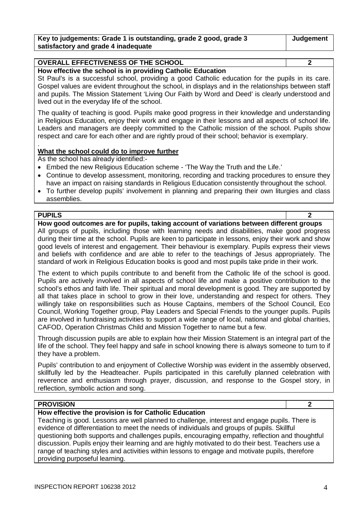| Key to judgements: Grade 1 is outstanding, grade 2 good, grade 3 | Judgement |
|------------------------------------------------------------------|-----------|
| satisfactory and grade 4 inadequate                              |           |

## **OVERALL EFFECTIVENESS OF THE SCHOOL 2**

**How effective the school is in providing Catholic Education**

St Paul's is a successful school, providing a good Catholic education for the pupils in its care. Gospel values are evident throughout the school, in displays and in the relationships between staff and pupils. The Mission Statement 'Living Our Faith by Word and Deed' is clearly understood and lived out in the everyday life of the school.

The quality of teaching is good. Pupils make good progress in their knowledge and understanding in Religious Education, enjoy their work and engage in their lessons and all aspects of school life. Leaders and managers are deeply committed to the Catholic mission of the school. Pupils show respect and care for each other and are rightly proud of their school; behavior is exemplary.

#### . **What the school could do to improve further**

As the school has already identified:-

- Embed the new Religious Education scheme 'The Way the Truth and the Life.'
- Continue to develop assessment, monitoring, recording and tracking procedures to ensure they have an impact on raising standards in Religious Education consistently throughout the school.
- To further develop pupils' involvement in planning and preparing their own liturgies and class assemblies.

#### **PUPILS 2**

**How good outcomes are for pupils, taking account of variations between different groups** All groups of pupils, including those with learning needs and disabilities, make good progress during their time at the school. Pupils are keen to participate in lessons, enjoy their work and show good levels of interest and engagement. Their behaviour is exemplary. Pupils express their views and beliefs with confidence and are able to refer to the teachings of Jesus appropriately. The standard of work in Religious Education books is good and most pupils take pride in their work.

The extent to which pupils contribute to and benefit from the Catholic life of the school is good. Pupils are actively involved in all aspects of school life and make a positive contribution to the school's ethos and faith life. Their spiritual and moral development is good. They are supported by all that takes place in school to grow in their love, understanding and respect for others. They willingly take on responsibilities such as House Captains, members of the School Council, Eco Council, Working Together group, Play Leaders and Special Friends to the younger pupils. Pupils are involved in fundraising activities to support a wide range of local, national and global charities, CAFOD, Operation Christmas Child and Mission Together to name but a few.

Through discussion pupils are able to explain how their Mission Statement is an integral part of the life of the school. They feel happy and safe in school knowing there is always someone to turn to if they have a problem.

Pupils' contribution to and enjoyment of Collective Worship was evident in the assembly observed, skillfully led by the Headteacher. Pupils participated in this carefully planned celebration with reverence and enthusiasm through prayer, discussion, and response to the Gospel story, in reflection, symbolic action and song.

#### **PROVISION 2**

#### **How effective the provision is for Catholic Education**

Teaching is good. Lessons are well planned to challenge, interest and engage pupils. There is evidence of differentiation to meet the needs of individuals and groups of pupils. Skillful questioning both supports and challenges pupils, encouraging empathy, reflection and thoughtful discussion. Pupils enjoy their learning and are highly motivated to do their best. Teachers use a range of teaching styles and activities within lessons to engage and motivate pupils, therefore providing purposeful learning.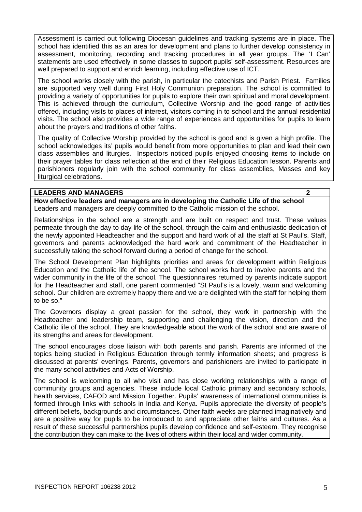Assessment is carried out following Diocesan guidelines and tracking systems are in place. The school has identified this as an area for development and plans to further develop consistency in assessment, monitoring, recording and tracking procedures in all year groups. The 'I Can' statements are used effectively in some classes to support pupils' self-assessment. Resources are well prepared to support and enrich learning, including effective use of ICT.

The school works closely with the parish, in particular the catechists and Parish Priest. Families are supported very well during First Holy Communion preparation. The school is committed to providing a variety of opportunities for pupils to explore their own spiritual and moral development. This is achieved through the curriculum, Collective Worship and the good range of activities offered, including visits to places of interest, visitors coming in to school and the annual residential visits. The school also provides a wide range of experiences and opportunities for pupils to learn about the prayers and traditions of other faiths.

The quality of Collective Worship provided by the school is good and is given a high profile. The school acknowledges its' pupils would benefit from more opportunities to plan and lead their own class assemblies and liturgies. Inspectors noticed pupils enjoyed choosing items to include on their prayer tables for class reflection at the end of their Religious Education lesson. Parents and parishioners regularly join with the school community for class assemblies, Masses and key liturgical celebrations.

### **LEADERS AND MANAGERS 2**

**How effective leaders and managers are in developing the Catholic Life of the school** Leaders and managers are deeply committed to the Catholic mission of the school.

Relationships in the school are a strength and are built on respect and trust. These values permeate through the day to day life of the school, through the calm and enthusiastic dedication of the newly appointed Headteacher and the support and hard work of all the staff at St Paul's. Staff, governors and parents acknowledged the hard work and commitment of the Headteacher in successfully taking the school forward during a period of change for the school.

The School Development Plan highlights priorities and areas for development within Religious Education and the Catholic life of the school. The school works hard to involve parents and the wider community in the life of the school. The questionnaires returned by parents indicate support for the Headteacher and staff, one parent commented "St Paul's is a lovely, warm and welcoming school. Our children are extremely happy there and we are delighted with the staff for helping them to be so."

The Governors display a great passion for the school, they work in partnership with the Headteacher and leadership team, supporting and challenging the vision, direction and the Catholic life of the school. They are knowledgeable about the work of the school and are aware of its strengths and areas for development.

The school encourages close liaison with both parents and parish. Parents are informed of the topics being studied in Religious Education through termly information sheets; and progress is discussed at parents' evenings. Parents, governors and parishioners are invited to participate in the many school activities and Acts of Worship.

The school is welcoming to all who visit and has close working relationships with a range of community groups and agencies. These include local Catholic primary and secondary schools, health services, CAFOD and Mission Together. Pupils' awareness of international communities is formed through links with schools in India and Kenya. Pupils appreciate the diversity of people's different beliefs, backgrounds and circumstances. Other faith weeks are planned imaginatively and are a positive way for pupils to be introduced to and appreciate other faiths and cultures. As a result of these successful partnerships pupils develop confidence and self-esteem. They recognise the contribution they can make to the lives of others within their local and wider community.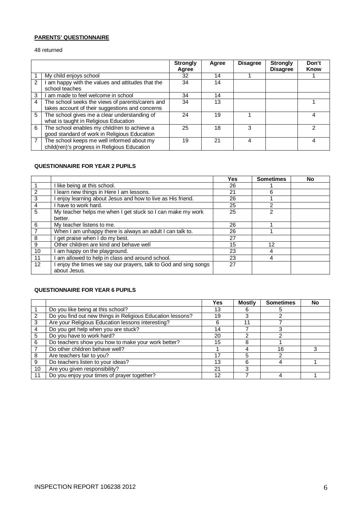### **PARENTS' QUESTIONNAIRE**

48 returned

|   |                                                                                                     | <b>Strongly</b><br>Agree | Agree | <b>Disagree</b> | <b>Strongly</b><br><b>Disagree</b> | Don't<br><b>Know</b> |
|---|-----------------------------------------------------------------------------------------------------|--------------------------|-------|-----------------|------------------------------------|----------------------|
|   | My child enjoys school                                                                              | 32                       | 14    |                 |                                    |                      |
| 2 | am happy with the values and attitudes that the<br>school teaches                                   | 34                       | 14    |                 |                                    |                      |
| 3 | am made to feel welcome in school                                                                   | 34                       | 14    |                 |                                    |                      |
| 4 | The school seeks the views of parents/carers and<br>takes account of their suggestions and concerns | 34                       | 13    |                 |                                    |                      |
| 5 | The school gives me a clear understanding of<br>what is taught in Religious Education               | 24                       | 19    |                 |                                    | 4                    |
| 6 | The school enables my child/ren to achieve a<br>good standard of work in Religious Education        | 25                       | 18    | 3               |                                    | 2                    |
| 7 | The school keeps me well informed about my<br>child(ren)'s progress in Religious Education          | 19                       | 21    | 4               |                                    | 4                    |

#### **QUESTIONNAIRE FOR YEAR 2 PUPILS**

|                |                                                                | Yes | <b>Sometimes</b> | <b>No</b> |
|----------------|----------------------------------------------------------------|-----|------------------|-----------|
|                | I like being at this school.                                   | 26  |                  |           |
| $\overline{2}$ | I learn new things in Here I am lessons.                       | 21  | 6                |           |
| $\overline{3}$ | enjoy learning about Jesus and how to live as His friend.      | 26  |                  |           |
| $\overline{a}$ | I have to work hard.                                           | 25  | 2                |           |
| 5              | My teacher helps me when I get stuck so I can make my work     | 25  | 2                |           |
|                | better.                                                        |     |                  |           |
| 6              | My teacher listens to me.                                      | 26  |                  |           |
| $\overline{7}$ | When I am unhappy there is always an adult I can talk to.      | 26  |                  |           |
| 8              | I get praise when I do my best.                                | 27  |                  |           |
| 9              | Other children are kind and behave well                        | 15  | 12               |           |
| 10             | am happy on the playground.                                    | 23  | 4                |           |
| 11             | am allowed to help in class and around school.                 | 23  | 4                |           |
| 12             | enjoy the times we say our prayers, talk to God and sing songs | 27  |                  |           |
|                | about Jesus.                                                   |     |                  |           |

#### **QUESTIONNAIRE FOR YEAR 6 PUPILS**

|                 |                                                            | Yes | <b>Mostly</b> | <b>Sometimes</b> | <b>No</b> |
|-----------------|------------------------------------------------------------|-----|---------------|------------------|-----------|
|                 | Do you like being at this school?                          | 13  | 6             | :5               |           |
| $\mathcal{P}$   | Do you find out new things in Religious Education lessons? | 19  |               |                  |           |
| 3               | Are your Religious Education lessons interesting?          | 6   | 11            |                  |           |
| 4               | Do you get help when you are stuck?                        | 14  |               |                  |           |
| 5               | Do you have to work hard?                                  | 20  | ⌒             | ົ                |           |
| 6               | Do teachers show you how to make your work better?         | 15  | 8             |                  |           |
|                 | Do other children behave well?                             |     |               | 16               |           |
| 8               | Are teachers fair to you?                                  | 17  |               |                  |           |
| 9               | Do teachers listen to your ideas?                          | 13  | 6             |                  |           |
| 10 <sup>°</sup> | Are you given responsibility?                              | 21  | 3             |                  |           |
| 11              | Do you enjoy your times of prayer together?                | 12  |               |                  |           |